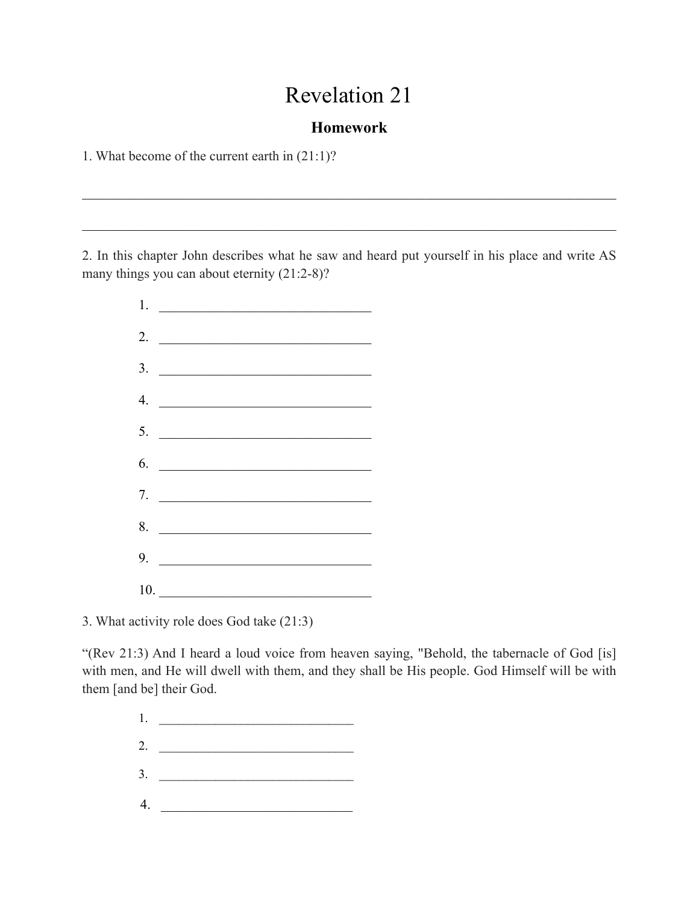## Revelation 21

## **Homework**

 $\mathcal{L}_\mathcal{L} = \{ \mathcal{L}_\mathcal{L} = \{ \mathcal{L}_\mathcal{L} = \{ \mathcal{L}_\mathcal{L} = \{ \mathcal{L}_\mathcal{L} = \{ \mathcal{L}_\mathcal{L} = \{ \mathcal{L}_\mathcal{L} = \{ \mathcal{L}_\mathcal{L} = \{ \mathcal{L}_\mathcal{L} = \{ \mathcal{L}_\mathcal{L} = \{ \mathcal{L}_\mathcal{L} = \{ \mathcal{L}_\mathcal{L} = \{ \mathcal{L}_\mathcal{L} = \{ \mathcal{L}_\mathcal{L} = \{ \mathcal{L}_\mathcal{$ 

 $\mathcal{L}_\mathcal{L} = \{ \mathcal{L}_\mathcal{L} = \{ \mathcal{L}_\mathcal{L} = \{ \mathcal{L}_\mathcal{L} = \{ \mathcal{L}_\mathcal{L} = \{ \mathcal{L}_\mathcal{L} = \{ \mathcal{L}_\mathcal{L} = \{ \mathcal{L}_\mathcal{L} = \{ \mathcal{L}_\mathcal{L} = \{ \mathcal{L}_\mathcal{L} = \{ \mathcal{L}_\mathcal{L} = \{ \mathcal{L}_\mathcal{L} = \{ \mathcal{L}_\mathcal{L} = \{ \mathcal{L}_\mathcal{L} = \{ \mathcal{L}_\mathcal{$ 

1. What become of the current earth in (21:1)?

2. In this chapter John describes what he saw and heard put yourself in his place and write AS many things you can about eternity  $(21:2-8)$ ?



3. What activity role does God take (21:3)

"(Rev 21:3) And I heard a loud voice from heaven saying, "Behold, the tabernacle of God [is] with men, and He will dwell with them, and they shall be His people. God Himself will be with them [and be] their God.

> $1.$ 2. \_\_\_\_\_\_\_\_\_\_\_\_\_\_\_\_\_\_\_\_\_\_\_\_\_\_\_\_\_\_\_ 3. \_\_\_\_\_\_\_\_\_\_\_\_\_\_\_\_\_\_\_\_\_\_\_\_\_\_\_\_\_\_\_  $4.$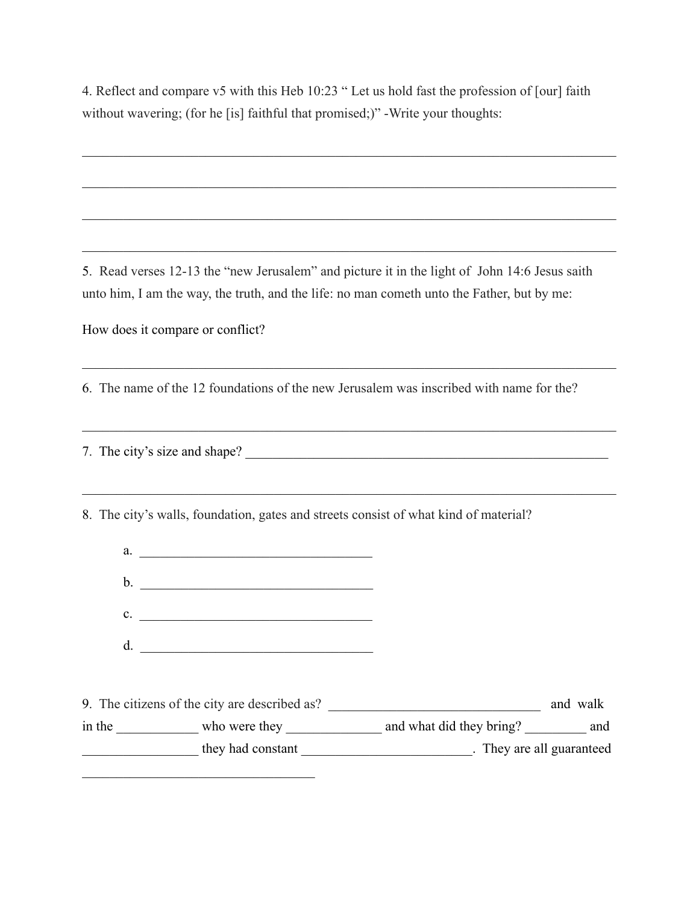4. Reflect and compare v5 with this Heb 10:23 " Let us hold fast the profession of [our] faith without wavering; (for he [is] faithful that promised;)" -Write your thoughts:

 $\mathcal{L}_\mathcal{L} = \{ \mathcal{L}_\mathcal{L} = \{ \mathcal{L}_\mathcal{L} = \{ \mathcal{L}_\mathcal{L} = \{ \mathcal{L}_\mathcal{L} = \{ \mathcal{L}_\mathcal{L} = \{ \mathcal{L}_\mathcal{L} = \{ \mathcal{L}_\mathcal{L} = \{ \mathcal{L}_\mathcal{L} = \{ \mathcal{L}_\mathcal{L} = \{ \mathcal{L}_\mathcal{L} = \{ \mathcal{L}_\mathcal{L} = \{ \mathcal{L}_\mathcal{L} = \{ \mathcal{L}_\mathcal{L} = \{ \mathcal{L}_\mathcal{$ 

 $\mathcal{L}_\mathcal{L} = \{ \mathcal{L}_\mathcal{L} = \{ \mathcal{L}_\mathcal{L} = \{ \mathcal{L}_\mathcal{L} = \{ \mathcal{L}_\mathcal{L} = \{ \mathcal{L}_\mathcal{L} = \{ \mathcal{L}_\mathcal{L} = \{ \mathcal{L}_\mathcal{L} = \{ \mathcal{L}_\mathcal{L} = \{ \mathcal{L}_\mathcal{L} = \{ \mathcal{L}_\mathcal{L} = \{ \mathcal{L}_\mathcal{L} = \{ \mathcal{L}_\mathcal{L} = \{ \mathcal{L}_\mathcal{L} = \{ \mathcal{L}_\mathcal{$ 

 $\mathcal{L}_\mathcal{L} = \{ \mathcal{L}_\mathcal{L} = \{ \mathcal{L}_\mathcal{L} = \{ \mathcal{L}_\mathcal{L} = \{ \mathcal{L}_\mathcal{L} = \{ \mathcal{L}_\mathcal{L} = \{ \mathcal{L}_\mathcal{L} = \{ \mathcal{L}_\mathcal{L} = \{ \mathcal{L}_\mathcal{L} = \{ \mathcal{L}_\mathcal{L} = \{ \mathcal{L}_\mathcal{L} = \{ \mathcal{L}_\mathcal{L} = \{ \mathcal{L}_\mathcal{L} = \{ \mathcal{L}_\mathcal{L} = \{ \mathcal{L}_\mathcal{$ 

 $\mathcal{L}_\mathcal{L} = \{ \mathcal{L}_\mathcal{L} = \{ \mathcal{L}_\mathcal{L} = \{ \mathcal{L}_\mathcal{L} = \{ \mathcal{L}_\mathcal{L} = \{ \mathcal{L}_\mathcal{L} = \{ \mathcal{L}_\mathcal{L} = \{ \mathcal{L}_\mathcal{L} = \{ \mathcal{L}_\mathcal{L} = \{ \mathcal{L}_\mathcal{L} = \{ \mathcal{L}_\mathcal{L} = \{ \mathcal{L}_\mathcal{L} = \{ \mathcal{L}_\mathcal{L} = \{ \mathcal{L}_\mathcal{L} = \{ \mathcal{L}_\mathcal{$ 

 $\mathcal{L}_\mathcal{L} = \{ \mathcal{L}_\mathcal{L} = \{ \mathcal{L}_\mathcal{L} = \{ \mathcal{L}_\mathcal{L} = \{ \mathcal{L}_\mathcal{L} = \{ \mathcal{L}_\mathcal{L} = \{ \mathcal{L}_\mathcal{L} = \{ \mathcal{L}_\mathcal{L} = \{ \mathcal{L}_\mathcal{L} = \{ \mathcal{L}_\mathcal{L} = \{ \mathcal{L}_\mathcal{L} = \{ \mathcal{L}_\mathcal{L} = \{ \mathcal{L}_\mathcal{L} = \{ \mathcal{L}_\mathcal{L} = \{ \mathcal{L}_\mathcal{$ 

 $\mathcal{L}_\mathcal{L} = \{ \mathcal{L}_\mathcal{L} = \{ \mathcal{L}_\mathcal{L} = \{ \mathcal{L}_\mathcal{L} = \{ \mathcal{L}_\mathcal{L} = \{ \mathcal{L}_\mathcal{L} = \{ \mathcal{L}_\mathcal{L} = \{ \mathcal{L}_\mathcal{L} = \{ \mathcal{L}_\mathcal{L} = \{ \mathcal{L}_\mathcal{L} = \{ \mathcal{L}_\mathcal{L} = \{ \mathcal{L}_\mathcal{L} = \{ \mathcal{L}_\mathcal{L} = \{ \mathcal{L}_\mathcal{L} = \{ \mathcal{L}_\mathcal{$ 

 $\_$  , and the set of the set of the set of the set of the set of the set of the set of the set of the set of the set of the set of the set of the set of the set of the set of the set of the set of the set of the set of th

5. Read verses 12-13 the "new Jerusalem" and picture it in the light of John 14:6 Jesus saith unto him, I am the way, the truth, and the life: no man cometh unto the Father, but by me:

How does it compare or conflict?

6. The name of the 12 foundations of the new Jerusalem was inscribed with name for the?

7. The city's size and shape? \_\_\_\_\_\_\_\_\_\_\_\_\_\_\_\_\_\_\_\_\_\_\_\_\_\_\_\_\_\_\_\_\_\_\_\_\_\_\_\_\_\_\_\_\_\_\_\_\_\_\_\_\_

 $\mathcal{L}_\text{max}$ 

8. The city's walls, foundation, gates and streets consist of what kind of material?

| a.                                                                                                                                      |                                |          |  |
|-----------------------------------------------------------------------------------------------------------------------------------------|--------------------------------|----------|--|
| $\mathbf{b}$ .                                                                                                                          |                                |          |  |
| $\mathbf{c}$ .<br><u> 1989 - Johann Harry Barn, mars ar breithinn ar breithinn ar breithinn ar breithinn ar breithinn ar breithinn </u> |                                |          |  |
| $d_{\cdot}$<br><u> 1989 - Jan Samuel Barbara, margaret eta idazlea (h. 1982).</u>                                                       |                                |          |  |
|                                                                                                                                         |                                |          |  |
| 9. The citizens of the city are described as?                                                                                           |                                | and walk |  |
| in the who were they                                                                                                                    | and what did they bring? _ and |          |  |
|                                                                                                                                         |                                |          |  |